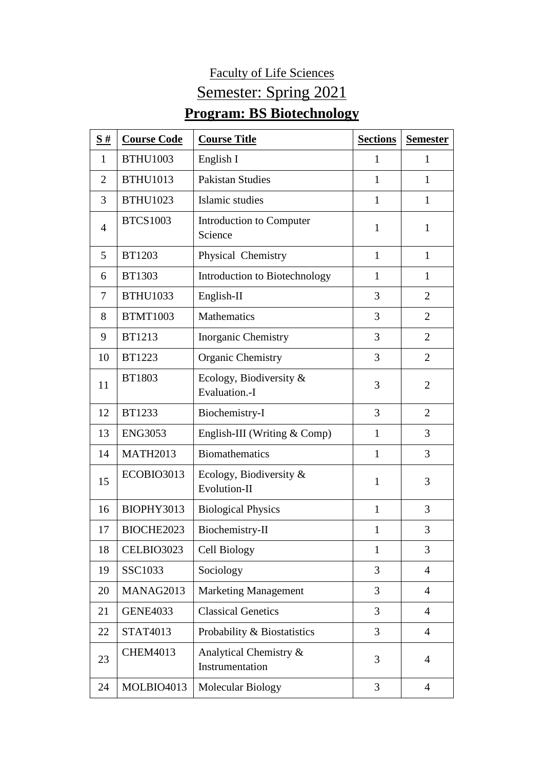## Faculty of Life Sciences Semester: Spring 2021 **Program: BS Biotechnology**

| $\frac{S#}{4}$ | <b>Course Code</b> | <b>Course Title</b>                       | <b>Sections</b> | <b>Semester</b> |
|----------------|--------------------|-------------------------------------------|-----------------|-----------------|
| 1              | <b>BTHU1003</b>    | English I                                 | 1               | 1               |
| $\overline{2}$ | <b>BTHU1013</b>    | <b>Pakistan Studies</b>                   | 1               | $\mathbf{1}$    |
| 3              | <b>BTHU1023</b>    | Islamic studies                           | $\mathbf{1}$    | $\mathbf{1}$    |
| $\overline{4}$ | <b>BTCS1003</b>    | Introduction to Computer<br>Science       | 1               | $\mathbf{1}$    |
| 5              | <b>BT1203</b>      | Physical Chemistry                        | $\mathbf{1}$    | $\mathbf{1}$    |
| 6              | <b>BT1303</b>      | Introduction to Biotechnology             | $\mathbf{1}$    | $\mathbf{1}$    |
| 7              | <b>BTHU1033</b>    | English-II                                | 3               | 2               |
| 8              | <b>BTMT1003</b>    | <b>Mathematics</b>                        | 3               | 2               |
| 9              | <b>BT1213</b>      | Inorganic Chemistry                       | 3               | $\overline{2}$  |
| 10             | <b>BT1223</b>      | <b>Organic Chemistry</b>                  | 3               | $\overline{2}$  |
| 11             | <b>BT1803</b>      | Ecology, Biodiversity &<br>Evaluation.-I  | 3               | $\overline{2}$  |
| 12             | <b>BT1233</b>      | Biochemistry-I                            | 3               | $\overline{2}$  |
| 13             | <b>ENG3053</b>     | English-III (Writing & Comp)              | 1               | 3               |
| 14             | <b>MATH2013</b>    | <b>Biomathematics</b>                     | $\mathbf{1}$    | 3               |
| 15             | ECOBIO3013         | Ecology, Biodiversity &<br>Evolution-II   | $\mathbf{1}$    | 3               |
| 16             | BIOPHY3013         | <b>Biological Physics</b>                 | $\mathbf{1}$    | 3               |
| 17             | BIOCHE2023         | Biochemistry-II                           | 1               | 3               |
| 18             | CELBIO3023         | Cell Biology                              | $\mathbf{1}$    | 3               |
| 19             | SSC1033            | Sociology                                 | 3               | $\overline{4}$  |
| 20             | MANAG2013          | <b>Marketing Management</b>               | 3               | $\overline{4}$  |
| 21             | <b>GENE4033</b>    | <b>Classical Genetics</b>                 | 3               | $\overline{4}$  |
| 22             | STAT4013           | Probability & Biostatistics               | 3               | $\overline{4}$  |
| 23             | <b>CHEM4013</b>    | Analytical Chemistry &<br>Instrumentation | 3               | $\overline{4}$  |
| 24             | MOLBIO4013         | Molecular Biology                         | 3               | $\overline{4}$  |